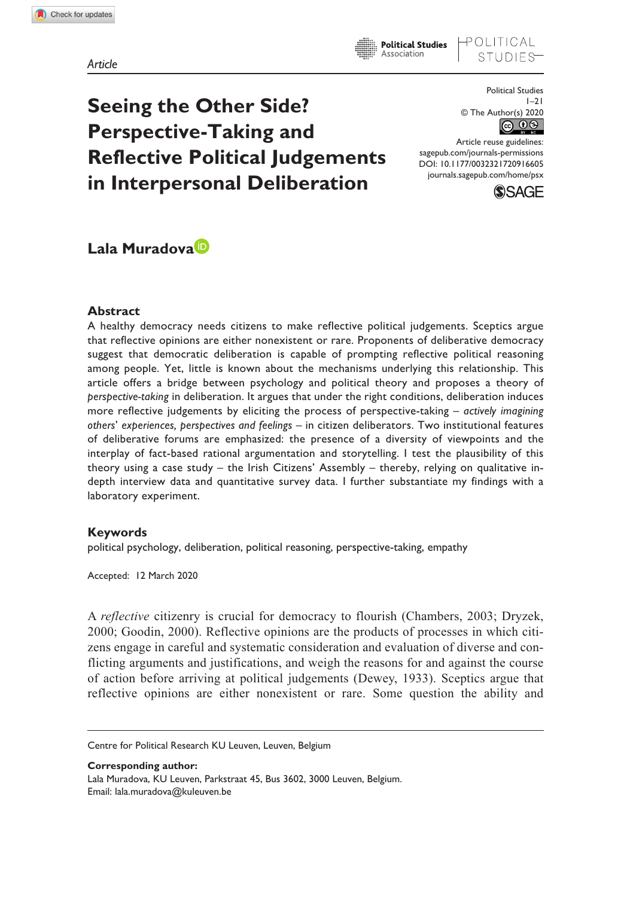OLITICAL

**Seeing the Other Side? Perspective-Taking and Reflective Political Judgements in Interpersonal Deliberation** 

Political Studies  $1 - 21$ © The Author(s) 2020 <u>© 0⊗</u>

DOI: 10.1177/0032321720916605 Article reuse guidelines: [sagepub.com/journals-permissions](https://uk.sagepub.com/en-gb/journals-permissions) [journals.sagepub.com/home/psx](https://journals.sagepub.com/home/psx)



# **Lala Muradova**

#### **Abstract**

A healthy democracy needs citizens to make reflective political judgements. Sceptics argue that reflective opinions are either nonexistent or rare. Proponents of deliberative democracy suggest that democratic deliberation is capable of prompting reflective political reasoning among people. Yet, little is known about the mechanisms underlying this relationship. This article offers a bridge between psychology and political theory and proposes a theory of *perspective-taking* in deliberation. It argues that under the right conditions, deliberation induces more reflective judgements by eliciting the process of perspective-taking – *actively imagining others*' *experiences, perspectives and feelings* – in citizen deliberators. Two institutional features of deliberative forums are emphasized: the presence of a diversity of viewpoints and the interplay of fact-based rational argumentation and storytelling. I test the plausibility of this theory using a case study – the Irish Citizens' Assembly – thereby, relying on qualitative indepth interview data and quantitative survey data. I further substantiate my findings with a laboratory experiment.

## **Keywords**

political psychology, deliberation, political reasoning, perspective-taking, empathy

Accepted: 12 March 2020

A *reflective* citizenry is crucial for democracy to flourish (Chambers, 2003; Dryzek, 2000; Goodin, 2000). Reflective opinions are the products of processes in which citizens engage in careful and systematic consideration and evaluation of diverse and conflicting arguments and justifications, and weigh the reasons for and against the course of action before arriving at political judgements (Dewey, 1933). Sceptics argue that reflective opinions are either nonexistent or rare. Some question the ability and

Centre for Political Research KU Leuven, Leuven, Belgium

**Corresponding author:** Lala Muradova, KU Leuven, Parkstraat 45, Bus 3602, 3000 Leuven, Belgium. Email: [lala.muradova@kuleuven.be](mailto:lala.muradova@kuleuven.be)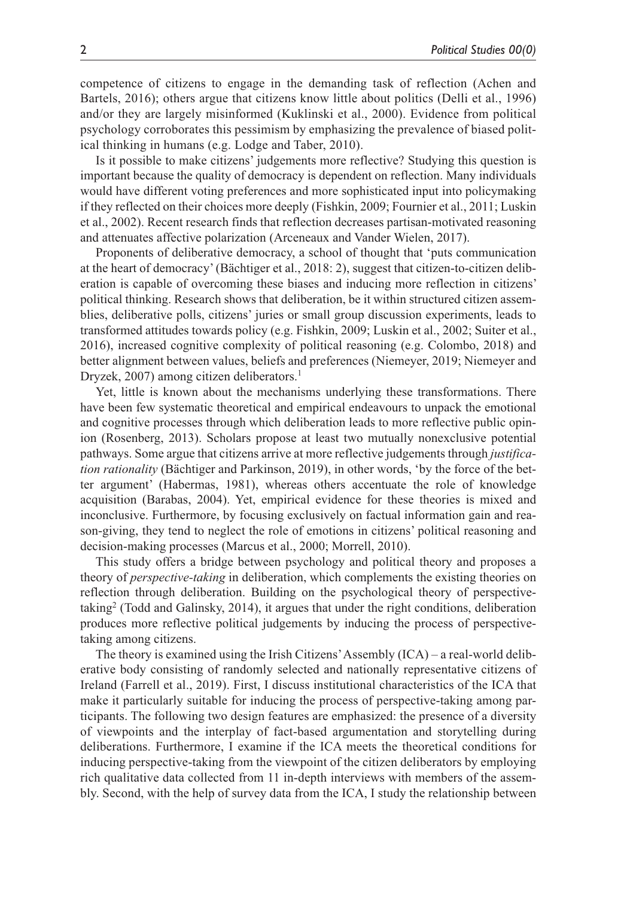competence of citizens to engage in the demanding task of reflection (Achen and Bartels, 2016); others argue that citizens know little about politics (Delli et al., 1996) and/or they are largely misinformed (Kuklinski et al., 2000). Evidence from political psychology corroborates this pessimism by emphasizing the prevalence of biased political thinking in humans (e.g. Lodge and Taber, 2010).

Is it possible to make citizens' judgements more reflective? Studying this question is important because the quality of democracy is dependent on reflection. Many individuals would have different voting preferences and more sophisticated input into policymaking if they reflected on their choices more deeply (Fishkin, 2009; Fournier et al., 2011; Luskin et al., 2002). Recent research finds that reflection decreases partisan-motivated reasoning and attenuates affective polarization (Arceneaux and Vander Wielen, 2017).

Proponents of deliberative democracy, a school of thought that 'puts communication at the heart of democracy' (Bächtiger et al., 2018: 2), suggest that citizen-to-citizen deliberation is capable of overcoming these biases and inducing more reflection in citizens' political thinking. Research shows that deliberation, be it within structured citizen assemblies, deliberative polls, citizens' juries or small group discussion experiments, leads to transformed attitudes towards policy (e.g. Fishkin, 2009; Luskin et al., 2002; Suiter et al., 2016), increased cognitive complexity of political reasoning (e.g. Colombo, 2018) and better alignment between values, beliefs and preferences (Niemeyer, 2019; Niemeyer and Dryzek, 2007) among citizen deliberators.<sup>1</sup>

Yet, little is known about the mechanisms underlying these transformations. There have been few systematic theoretical and empirical endeavours to unpack the emotional and cognitive processes through which deliberation leads to more reflective public opinion (Rosenberg, 2013). Scholars propose at least two mutually nonexclusive potential pathways. Some argue that citizens arrive at more reflective judgements through *justification rationality* (Bächtiger and Parkinson, 2019), in other words, 'by the force of the better argument' (Habermas, 1981), whereas others accentuate the role of knowledge acquisition (Barabas, 2004). Yet, empirical evidence for these theories is mixed and inconclusive. Furthermore, by focusing exclusively on factual information gain and reason-giving, they tend to neglect the role of emotions in citizens' political reasoning and decision-making processes (Marcus et al., 2000; Morrell, 2010).

This study offers a bridge between psychology and political theory and proposes a theory of *perspective-taking* in deliberation, which complements the existing theories on reflection through deliberation. Building on the psychological theory of perspectivetaking2 (Todd and Galinsky, 2014), it argues that under the right conditions, deliberation produces more reflective political judgements by inducing the process of perspectivetaking among citizens.

The theory is examined using the Irish Citizens' Assembly (ICA) – a real-world deliberative body consisting of randomly selected and nationally representative citizens of Ireland (Farrell et al., 2019). First, I discuss institutional characteristics of the ICA that make it particularly suitable for inducing the process of perspective-taking among participants. The following two design features are emphasized: the presence of a diversity of viewpoints and the interplay of fact-based argumentation and storytelling during deliberations. Furthermore, I examine if the ICA meets the theoretical conditions for inducing perspective-taking from the viewpoint of the citizen deliberators by employing rich qualitative data collected from 11 in-depth interviews with members of the assembly. Second, with the help of survey data from the ICA, I study the relationship between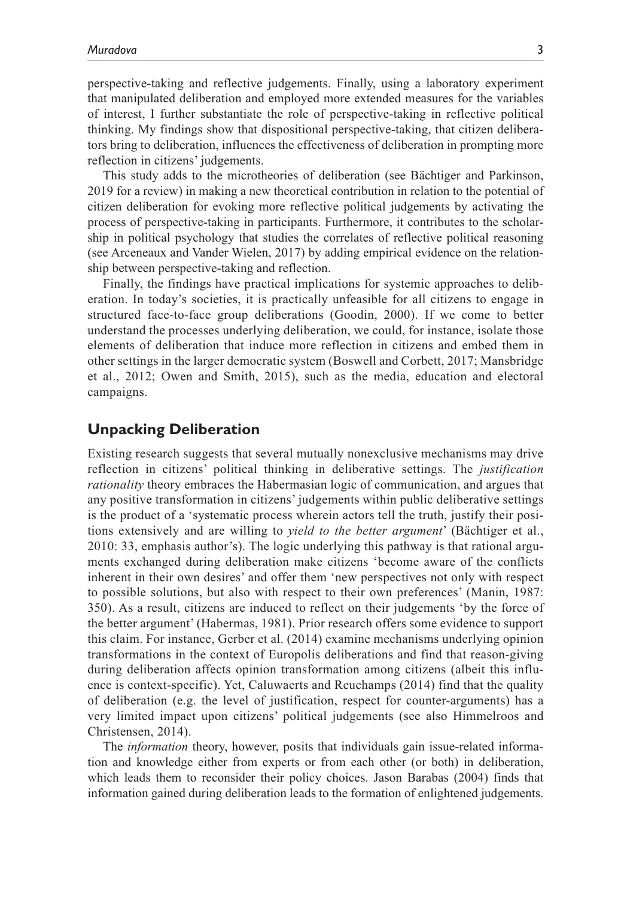perspective-taking and reflective judgements. Finally, using a laboratory experiment that manipulated deliberation and employed more extended measures for the variables of interest, I further substantiate the role of perspective-taking in reflective political thinking. My findings show that dispositional perspective-taking, that citizen deliberators bring to deliberation, influences the effectiveness of deliberation in prompting more reflection in citizens' judgements.

This study adds to the microtheories of deliberation (see Bächtiger and Parkinson, 2019 for a review) in making a new theoretical contribution in relation to the potential of citizen deliberation for evoking more reflective political judgements by activating the process of perspective-taking in participants. Furthermore, it contributes to the scholarship in political psychology that studies the correlates of reflective political reasoning (see Arceneaux and Vander Wielen, 2017) by adding empirical evidence on the relationship between perspective-taking and reflection.

Finally, the findings have practical implications for systemic approaches to deliberation. In today's societies, it is practically unfeasible for all citizens to engage in structured face-to-face group deliberations (Goodin, 2000). If we come to better understand the processes underlying deliberation, we could, for instance, isolate those elements of deliberation that induce more reflection in citizens and embed them in other settings in the larger democratic system (Boswell and Corbett, 2017; Mansbridge et al., 2012; Owen and Smith, 2015), such as the media, education and electoral campaigns.

## **Unpacking Deliberation**

Existing research suggests that several mutually nonexclusive mechanisms may drive reflection in citizens' political thinking in deliberative settings. The *justification rationality* theory embraces the Habermasian logic of communication, and argues that any positive transformation in citizens' judgements within public deliberative settings is the product of a 'systematic process wherein actors tell the truth, justify their positions extensively and are willing to *yield to the better argument*' (Bächtiger et al., 2010: 33, emphasis author's). The logic underlying this pathway is that rational arguments exchanged during deliberation make citizens 'become aware of the conflicts inherent in their own desires' and offer them 'new perspectives not only with respect to possible solutions, but also with respect to their own preferences' (Manin, 1987: 350). As a result, citizens are induced to reflect on their judgements 'by the force of the better argument' (Habermas, 1981). Prior research offers some evidence to support this claim. For instance, Gerber et al. (2014) examine mechanisms underlying opinion transformations in the context of Europolis deliberations and find that reason-giving during deliberation affects opinion transformation among citizens (albeit this influence is context-specific). Yet, Caluwaerts and Reuchamps (2014) find that the quality of deliberation (e.g. the level of justification, respect for counter-arguments) has a very limited impact upon citizens' political judgements (see also Himmelroos and Christensen, 2014).

The *information* theory, however, posits that individuals gain issue-related information and knowledge either from experts or from each other (or both) in deliberation, which leads them to reconsider their policy choices. Jason Barabas (2004) finds that information gained during deliberation leads to the formation of enlightened judgements.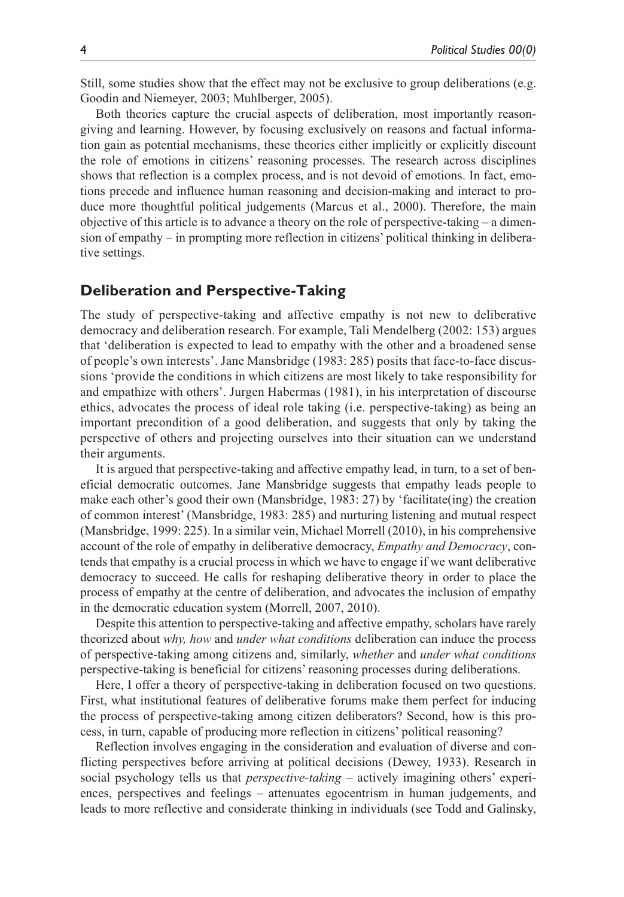Still, some studies show that the effect may not be exclusive to group deliberations (e.g. Goodin and Niemeyer, 2003; Muhlberger, 2005).

Both theories capture the crucial aspects of deliberation, most importantly reasongiving and learning. However, by focusing exclusively on reasons and factual information gain as potential mechanisms, these theories either implicitly or explicitly discount the role of emotions in citizens' reasoning processes. The research across disciplines shows that reflection is a complex process, and is not devoid of emotions. In fact, emotions precede and influence human reasoning and decision-making and interact to produce more thoughtful political judgements (Marcus et al., 2000). Therefore, the main objective of this article is to advance a theory on the role of perspective-taking – a dimension of empathy – in prompting more reflection in citizens' political thinking in deliberative settings.

## **Deliberation and Perspective-Taking**

The study of perspective-taking and affective empathy is not new to deliberative democracy and deliberation research. For example, Tali Mendelberg (2002: 153) argues that 'deliberation is expected to lead to empathy with the other and a broadened sense of people's own interests'. Jane Mansbridge (1983: 285) posits that face-to-face discussions 'provide the conditions in which citizens are most likely to take responsibility for and empathize with others'. Jurgen Habermas (1981), in his interpretation of discourse ethics, advocates the process of ideal role taking (i.e. perspective-taking) as being an important precondition of a good deliberation, and suggests that only by taking the perspective of others and projecting ourselves into their situation can we understand their arguments.

It is argued that perspective-taking and affective empathy lead, in turn, to a set of beneficial democratic outcomes. Jane Mansbridge suggests that empathy leads people to make each other's good their own (Mansbridge, 1983: 27) by 'facilitate(ing) the creation of common interest' (Mansbridge, 1983: 285) and nurturing listening and mutual respect (Mansbridge, 1999: 225). In a similar vein, Michael Morrell (2010), in his comprehensive account of the role of empathy in deliberative democracy, *Empathy and Democracy*, contends that empathy is a crucial process in which we have to engage if we want deliberative democracy to succeed. He calls for reshaping deliberative theory in order to place the process of empathy at the centre of deliberation, and advocates the inclusion of empathy in the democratic education system (Morrell, 2007, 2010).

Despite this attention to perspective-taking and affective empathy, scholars have rarely theorized about *why, how* and *under what conditions* deliberation can induce the process of perspective-taking among citizens and, similarly, *whether* and *under what conditions* perspective-taking is beneficial for citizens' reasoning processes during deliberations.

Here, I offer a theory of perspective-taking in deliberation focused on two questions. First, what institutional features of deliberative forums make them perfect for inducing the process of perspective-taking among citizen deliberators? Second, how is this process, in turn, capable of producing more reflection in citizens' political reasoning?

Reflection involves engaging in the consideration and evaluation of diverse and conflicting perspectives before arriving at political decisions (Dewey, 1933). Research in social psychology tells us that *perspective-taking* – actively imagining others' experiences, perspectives and feelings – attenuates egocentrism in human judgements, and leads to more reflective and considerate thinking in individuals (see Todd and Galinsky,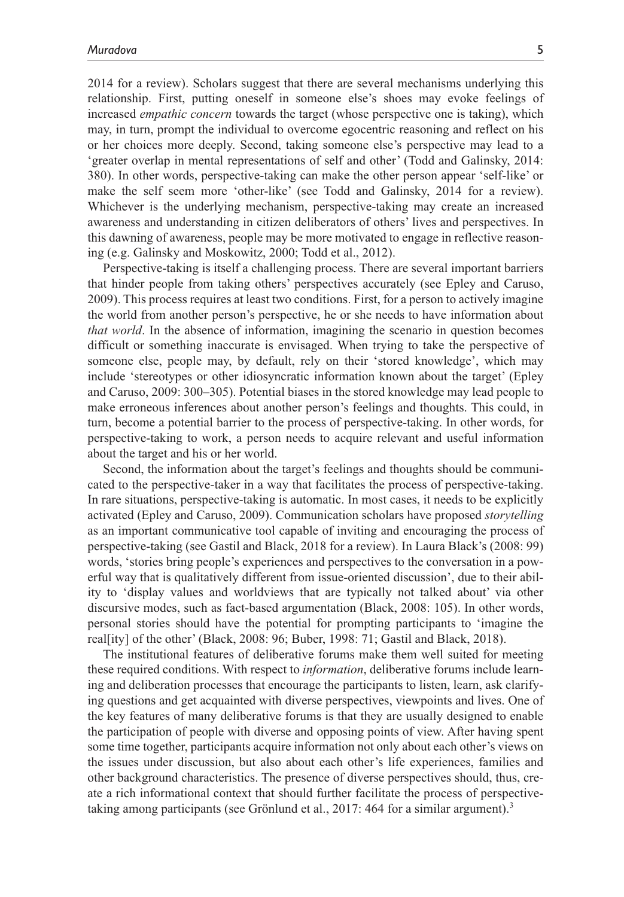2014 for a review). Scholars suggest that there are several mechanisms underlying this relationship. First, putting oneself in someone else's shoes may evoke feelings of increased *empathic concern* towards the target (whose perspective one is taking), which may, in turn, prompt the individual to overcome egocentric reasoning and reflect on his or her choices more deeply. Second, taking someone else's perspective may lead to a 'greater overlap in mental representations of self and other' (Todd and Galinsky, 2014: 380). In other words, perspective-taking can make the other person appear 'self-like' or make the self seem more 'other-like' (see Todd and Galinsky, 2014 for a review). Whichever is the underlying mechanism, perspective-taking may create an increased awareness and understanding in citizen deliberators of others' lives and perspectives. In this dawning of awareness, people may be more motivated to engage in reflective reasoning (e.g. Galinsky and Moskowitz, 2000; Todd et al., 2012).

Perspective-taking is itself a challenging process. There are several important barriers that hinder people from taking others' perspectives accurately (see Epley and Caruso, 2009). This process requires at least two conditions. First, for a person to actively imagine the world from another person's perspective, he or she needs to have information about *that world*. In the absence of information, imagining the scenario in question becomes difficult or something inaccurate is envisaged. When trying to take the perspective of someone else, people may, by default, rely on their 'stored knowledge', which may include 'stereotypes or other idiosyncratic information known about the target' (Epley and Caruso, 2009: 300–305). Potential biases in the stored knowledge may lead people to make erroneous inferences about another person's feelings and thoughts. This could, in turn, become a potential barrier to the process of perspective-taking. In other words, for perspective-taking to work, a person needs to acquire relevant and useful information about the target and his or her world.

Second, the information about the target's feelings and thoughts should be communicated to the perspective-taker in a way that facilitates the process of perspective-taking. In rare situations, perspective-taking is automatic. In most cases, it needs to be explicitly activated (Epley and Caruso, 2009). Communication scholars have proposed *storytelling* as an important communicative tool capable of inviting and encouraging the process of perspective-taking (see Gastil and Black, 2018 for a review). In Laura Black's (2008: 99) words, 'stories bring people's experiences and perspectives to the conversation in a powerful way that is qualitatively different from issue-oriented discussion', due to their ability to 'display values and worldviews that are typically not talked about' via other discursive modes, such as fact-based argumentation (Black, 2008: 105). In other words, personal stories should have the potential for prompting participants to 'imagine the real[ity] of the other' (Black, 2008: 96; Buber, 1998: 71; Gastil and Black, 2018).

The institutional features of deliberative forums make them well suited for meeting these required conditions. With respect to *information*, deliberative forums include learning and deliberation processes that encourage the participants to listen, learn, ask clarifying questions and get acquainted with diverse perspectives, viewpoints and lives. One of the key features of many deliberative forums is that they are usually designed to enable the participation of people with diverse and opposing points of view. After having spent some time together, participants acquire information not only about each other's views on the issues under discussion, but also about each other's life experiences, families and other background characteristics. The presence of diverse perspectives should, thus, create a rich informational context that should further facilitate the process of perspectivetaking among participants (see Grönlund et al., 2017: 464 for a similar argument).<sup>3</sup>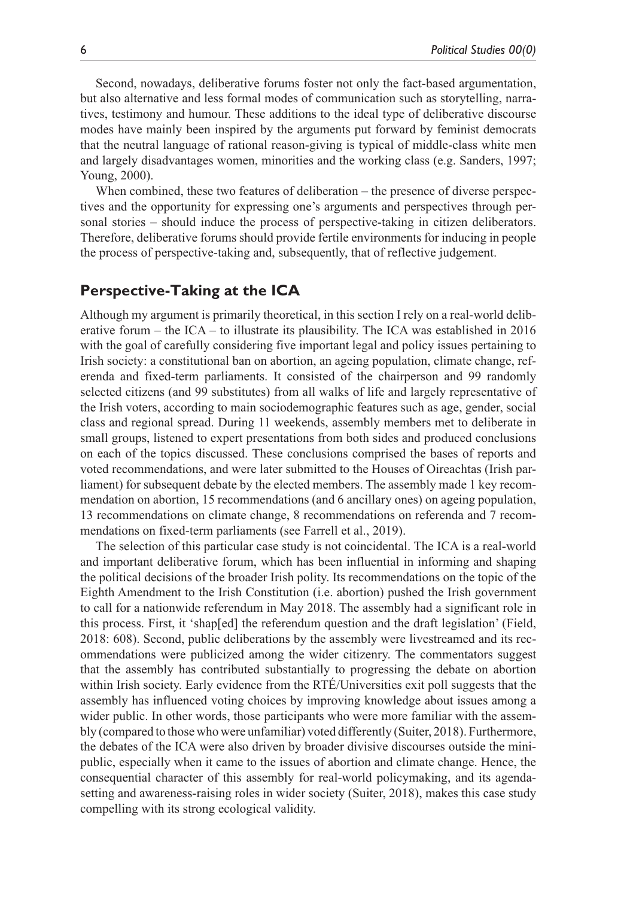Second, nowadays, deliberative forums foster not only the fact-based argumentation, but also alternative and less formal modes of communication such as storytelling, narratives, testimony and humour. These additions to the ideal type of deliberative discourse modes have mainly been inspired by the arguments put forward by feminist democrats that the neutral language of rational reason-giving is typical of middle-class white men and largely disadvantages women, minorities and the working class (e.g. Sanders, 1997; Young, 2000).

When combined, these two features of deliberation – the presence of diverse perspectives and the opportunity for expressing one's arguments and perspectives through personal stories – should induce the process of perspective-taking in citizen deliberators. Therefore, deliberative forums should provide fertile environments for inducing in people the process of perspective-taking and, subsequently, that of reflective judgement.

## **Perspective-Taking at the ICA**

Although my argument is primarily theoretical, in this section I rely on a real-world deliberative forum – the  $ICA -$  to illustrate its plausibility. The ICA was established in 2016 with the goal of carefully considering five important legal and policy issues pertaining to Irish society: a constitutional ban on abortion, an ageing population, climate change, referenda and fixed-term parliaments. It consisted of the chairperson and 99 randomly selected citizens (and 99 substitutes) from all walks of life and largely representative of the Irish voters, according to main sociodemographic features such as age, gender, social class and regional spread. During 11 weekends, assembly members met to deliberate in small groups, listened to expert presentations from both sides and produced conclusions on each of the topics discussed. These conclusions comprised the bases of reports and voted recommendations, and were later submitted to the Houses of Oireachtas (Irish parliament) for subsequent debate by the elected members. The assembly made 1 key recommendation on abortion, 15 recommendations (and 6 ancillary ones) on ageing population, 13 recommendations on climate change, 8 recommendations on referenda and 7 recommendations on fixed-term parliaments (see Farrell et al., 2019).

The selection of this particular case study is not coincidental. The ICA is a real-world and important deliberative forum, which has been influential in informing and shaping the political decisions of the broader Irish polity. Its recommendations on the topic of the Eighth Amendment to the Irish Constitution (i.e. abortion) pushed the Irish government to call for a nationwide referendum in May 2018. The assembly had a significant role in this process. First, it 'shap[ed] the referendum question and the draft legislation' (Field, 2018: 608). Second, public deliberations by the assembly were livestreamed and its recommendations were publicized among the wider citizenry. The commentators suggest that the assembly has contributed substantially to progressing the debate on abortion within Irish society. Early evidence from the RTÉ/Universities exit poll suggests that the assembly has influenced voting choices by improving knowledge about issues among a wider public. In other words, those participants who were more familiar with the assembly (compared to those who were unfamiliar) voted differently (Suiter, 2018). Furthermore, the debates of the ICA were also driven by broader divisive discourses outside the minipublic, especially when it came to the issues of abortion and climate change. Hence, the consequential character of this assembly for real-world policymaking, and its agendasetting and awareness-raising roles in wider society (Suiter, 2018), makes this case study compelling with its strong ecological validity.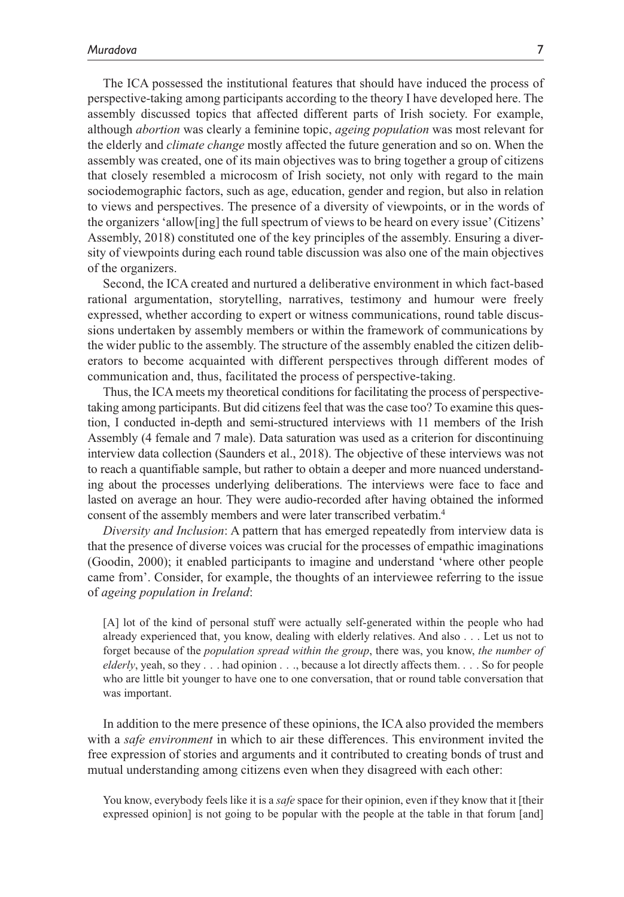The ICA possessed the institutional features that should have induced the process of perspective-taking among participants according to the theory I have developed here. The assembly discussed topics that affected different parts of Irish society. For example, although *abortion* was clearly a feminine topic, *ageing population* was most relevant for the elderly and *climate change* mostly affected the future generation and so on. When the assembly was created, one of its main objectives was to bring together a group of citizens that closely resembled a microcosm of Irish society, not only with regard to the main sociodemographic factors, such as age, education, gender and region, but also in relation to views and perspectives. The presence of a diversity of viewpoints, or in the words of the organizers 'allow[ing] the full spectrum of views to be heard on every issue' (Citizens' Assembly, 2018) constituted one of the key principles of the assembly. Ensuring a diversity of viewpoints during each round table discussion was also one of the main objectives of the organizers.

Second, the ICA created and nurtured a deliberative environment in which fact-based rational argumentation, storytelling, narratives, testimony and humour were freely expressed, whether according to expert or witness communications, round table discussions undertaken by assembly members or within the framework of communications by the wider public to the assembly. The structure of the assembly enabled the citizen deliberators to become acquainted with different perspectives through different modes of communication and, thus, facilitated the process of perspective-taking.

Thus, the ICA meets my theoretical conditions for facilitating the process of perspectivetaking among participants. But did citizens feel that was the case too? To examine this question, I conducted in-depth and semi-structured interviews with 11 members of the Irish Assembly (4 female and 7 male). Data saturation was used as a criterion for discontinuing interview data collection (Saunders et al., 2018). The objective of these interviews was not to reach a quantifiable sample, but rather to obtain a deeper and more nuanced understanding about the processes underlying deliberations. The interviews were face to face and lasted on average an hour. They were audio-recorded after having obtained the informed consent of the assembly members and were later transcribed verbatim.4

*Diversity and Inclusion*: A pattern that has emerged repeatedly from interview data is that the presence of diverse voices was crucial for the processes of empathic imaginations (Goodin, 2000); it enabled participants to imagine and understand 'where other people came from'. Consider, for example, the thoughts of an interviewee referring to the issue of *ageing population in Ireland*:

[A] lot of the kind of personal stuff were actually self-generated within the people who had already experienced that, you know, dealing with elderly relatives. And also . . . Let us not to forget because of the *population spread within the group*, there was, you know, *the number of elderly*, yeah, so they . . . had opinion . . ., because a lot directly affects them. . . . So for people who are little bit younger to have one to one conversation, that or round table conversation that was important.

In addition to the mere presence of these opinions, the ICA also provided the members with a *safe environment* in which to air these differences. This environment invited the free expression of stories and arguments and it contributed to creating bonds of trust and mutual understanding among citizens even when they disagreed with each other:

You know, everybody feels like it is a *safe* space for their opinion, even if they know that it [their expressed opinion] is not going to be popular with the people at the table in that forum [and]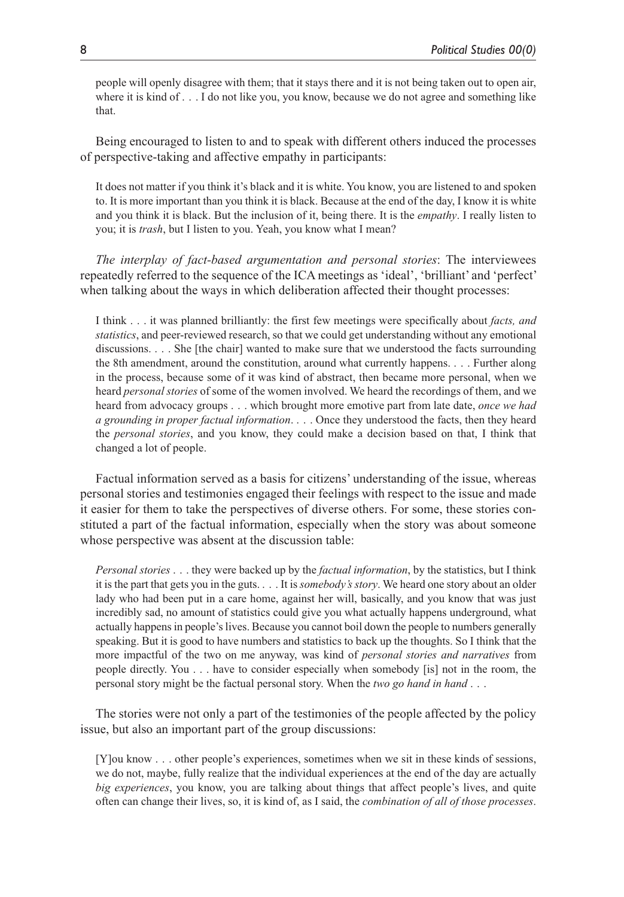people will openly disagree with them; that it stays there and it is not being taken out to open air, where it is kind of . . . I do not like you, you know, because we do not agree and something like that.

Being encouraged to listen to and to speak with different others induced the processes of perspective-taking and affective empathy in participants:

It does not matter if you think it's black and it is white. You know, you are listened to and spoken to. It is more important than you think it is black. Because at the end of the day, I know it is white and you think it is black. But the inclusion of it, being there. It is the *empathy*. I really listen to you; it is *trash*, but I listen to you. Yeah, you know what I mean?

*The interplay of fact-based argumentation and personal stories*: The interviewees repeatedly referred to the sequence of the ICA meetings as 'ideal', 'brilliant' and 'perfect' when talking about the ways in which deliberation affected their thought processes:

I think . . . it was planned brilliantly: the first few meetings were specifically about *facts, and statistics*, and peer-reviewed research, so that we could get understanding without any emotional discussions. . . . She [the chair] wanted to make sure that we understood the facts surrounding the 8th amendment, around the constitution, around what currently happens. . . . Further along in the process, because some of it was kind of abstract, then became more personal, when we heard *personal stories* of some of the women involved. We heard the recordings of them, and we heard from advocacy groups . . . which brought more emotive part from late date, *once we had a grounding in proper factual information*. . . . Once they understood the facts, then they heard the *personal stories*, and you know, they could make a decision based on that, I think that changed a lot of people.

Factual information served as a basis for citizens' understanding of the issue, whereas personal stories and testimonies engaged their feelings with respect to the issue and made it easier for them to take the perspectives of diverse others. For some, these stories constituted a part of the factual information, especially when the story was about someone whose perspective was absent at the discussion table:

*Personal stories* . . . they were backed up by the *factual information*, by the statistics, but I think it is the part that gets you in the guts. . . . It is *somebody's story*. We heard one story about an older lady who had been put in a care home, against her will, basically, and you know that was just incredibly sad, no amount of statistics could give you what actually happens underground, what actually happens in people's lives. Because you cannot boil down the people to numbers generally speaking. But it is good to have numbers and statistics to back up the thoughts. So I think that the more impactful of the two on me anyway, was kind of *personal stories and narratives* from people directly. You . . . have to consider especially when somebody [is] not in the room, the personal story might be the factual personal story. When the *two go hand in hand* . . .

The stories were not only a part of the testimonies of the people affected by the policy issue, but also an important part of the group discussions:

[Y]ou know . . . other people's experiences, sometimes when we sit in these kinds of sessions, we do not, maybe, fully realize that the individual experiences at the end of the day are actually *big experiences*, you know, you are talking about things that affect people's lives, and quite often can change their lives, so, it is kind of, as I said, the *combination of all of those processes*.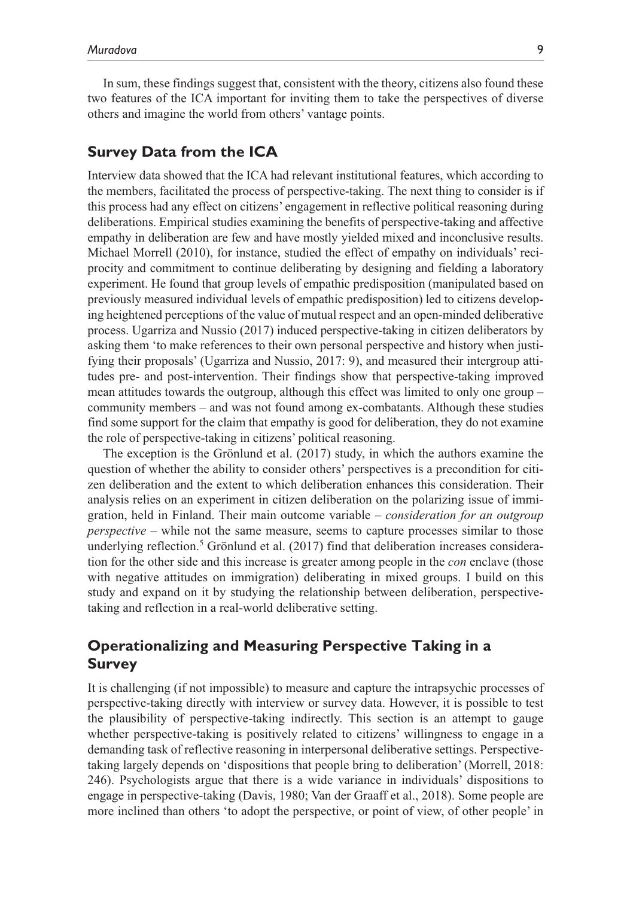In sum, these findings suggest that, consistent with the theory, citizens also found these two features of the ICA important for inviting them to take the perspectives of diverse others and imagine the world from others' vantage points.

## **Survey Data from the ICA**

Interview data showed that the ICA had relevant institutional features, which according to the members, facilitated the process of perspective-taking. The next thing to consider is if this process had any effect on citizens' engagement in reflective political reasoning during deliberations. Empirical studies examining the benefits of perspective-taking and affective empathy in deliberation are few and have mostly yielded mixed and inconclusive results. Michael Morrell (2010), for instance, studied the effect of empathy on individuals' reciprocity and commitment to continue deliberating by designing and fielding a laboratory experiment. He found that group levels of empathic predisposition (manipulated based on previously measured individual levels of empathic predisposition) led to citizens developing heightened perceptions of the value of mutual respect and an open-minded deliberative process. Ugarriza and Nussio (2017) induced perspective-taking in citizen deliberators by asking them 'to make references to their own personal perspective and history when justifying their proposals' (Ugarriza and Nussio, 2017: 9), and measured their intergroup attitudes pre- and post-intervention. Their findings show that perspective-taking improved mean attitudes towards the outgroup, although this effect was limited to only one group – community members – and was not found among ex-combatants. Although these studies find some support for the claim that empathy is good for deliberation, they do not examine the role of perspective-taking in citizens' political reasoning.

The exception is the Grönlund et al. (2017) study, in which the authors examine the question of whether the ability to consider others' perspectives is a precondition for citizen deliberation and the extent to which deliberation enhances this consideration. Their analysis relies on an experiment in citizen deliberation on the polarizing issue of immigration, held in Finland. Their main outcome variable – *consideration for an outgroup perspective* – while not the same measure, seems to capture processes similar to those underlying reflection.<sup>5</sup> Grönlund et al. (2017) find that deliberation increases consideration for the other side and this increase is greater among people in the *con* enclave (those with negative attitudes on immigration) deliberating in mixed groups. I build on this study and expand on it by studying the relationship between deliberation, perspectivetaking and reflection in a real-world deliberative setting.

# **Operationalizing and Measuring Perspective Taking in a Survey**

It is challenging (if not impossible) to measure and capture the intrapsychic processes of perspective-taking directly with interview or survey data. However, it is possible to test the plausibility of perspective-taking indirectly. This section is an attempt to gauge whether perspective-taking is positively related to citizens' willingness to engage in a demanding task of reflective reasoning in interpersonal deliberative settings. Perspectivetaking largely depends on 'dispositions that people bring to deliberation' (Morrell, 2018: 246). Psychologists argue that there is a wide variance in individuals' dispositions to engage in perspective-taking (Davis, 1980; Van der Graaff et al., 2018). Some people are more inclined than others 'to adopt the perspective, or point of view, of other people' in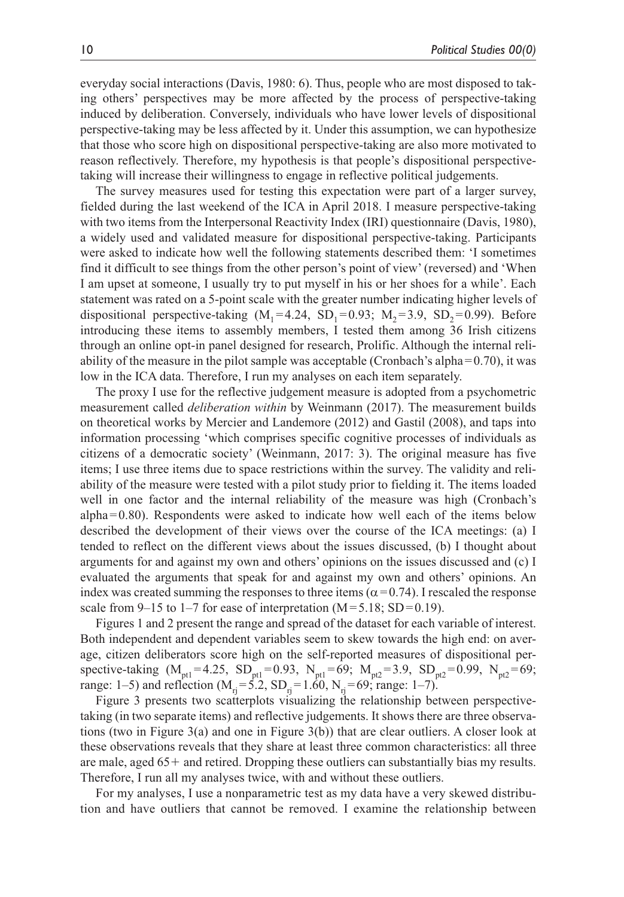everyday social interactions (Davis, 1980: 6). Thus, people who are most disposed to taking others' perspectives may be more affected by the process of perspective-taking induced by deliberation. Conversely, individuals who have lower levels of dispositional perspective-taking may be less affected by it. Under this assumption, we can hypothesize that those who score high on dispositional perspective-taking are also more motivated to reason reflectively. Therefore, my hypothesis is that people's dispositional perspectivetaking will increase their willingness to engage in reflective political judgements.

The survey measures used for testing this expectation were part of a larger survey, fielded during the last weekend of the ICA in April 2018. I measure perspective-taking with two items from the Interpersonal Reactivity Index (IRI) questionnaire (Davis, 1980), a widely used and validated measure for dispositional perspective-taking. Participants were asked to indicate how well the following statements described them: 'I sometimes find it difficult to see things from the other person's point of view' (reversed) and 'When I am upset at someone, I usually try to put myself in his or her shoes for a while'. Each statement was rated on a 5-point scale with the greater number indicating higher levels of dispositional perspective-taking  $(M_1=4.24, SD_1=0.93; M_2=3.9, SD_2=0.99)$ . Before introducing these items to assembly members, I tested them among 36 Irish citizens through an online opt-in panel designed for research, Prolific. Although the internal reliability of the measure in the pilot sample was acceptable (Cronbach's alpha= $0.70$ ), it was low in the ICA data. Therefore, I run my analyses on each item separately.

The proxy I use for the reflective judgement measure is adopted from a psychometric measurement called *deliberation within* by Weinmann (2017). The measurement builds on theoretical works by Mercier and Landemore (2012) and Gastil (2008), and taps into information processing 'which comprises specific cognitive processes of individuals as citizens of a democratic society' (Weinmann, 2017: 3). The original measure has five items; I use three items due to space restrictions within the survey. The validity and reliability of the measure were tested with a pilot study prior to fielding it. The items loaded well in one factor and the internal reliability of the measure was high (Cronbach's alpha=0.80). Respondents were asked to indicate how well each of the items below described the development of their views over the course of the ICA meetings: (a) I tended to reflect on the different views about the issues discussed, (b) I thought about arguments for and against my own and others' opinions on the issues discussed and (c) I evaluated the arguments that speak for and against my own and others' opinions. An index was created summing the responses to three items ( $\alpha$ =0.74). I rescaled the response scale from 9–15 to 1–7 for ease of interpretation  $(M=5.18; SD=0.19)$ .

Figures 1 and 2 present the range and spread of the dataset for each variable of interest. Both independent and dependent variables seem to skew towards the high end: on average, citizen deliberators score high on the self-reported measures of dispositional perspective-taking  $(M_{pt1} = 4.25, SD_{pt1} = 0.93, N_{pt1} = 69; M_{pt2} = 3.9, SD_{pt2} = 0.99, N_{pt2} = 69;$ range: 1–5) and reflection  $(M_{ri} = 5.2, SD_{ri} = 1.60, N_{ri} = 69$ ; range: 1–7).

Figure 3 presents two scatterplots visualizing the relationship between perspectivetaking (in two separate items) and reflective judgements. It shows there are three observations (two in Figure 3(a) and one in Figure 3(b)) that are clear outliers. A closer look at these observations reveals that they share at least three common characteristics: all three are male, aged 65+ and retired. Dropping these outliers can substantially bias my results. Therefore, I run all my analyses twice, with and without these outliers.

For my analyses, I use a nonparametric test as my data have a very skewed distribution and have outliers that cannot be removed. I examine the relationship between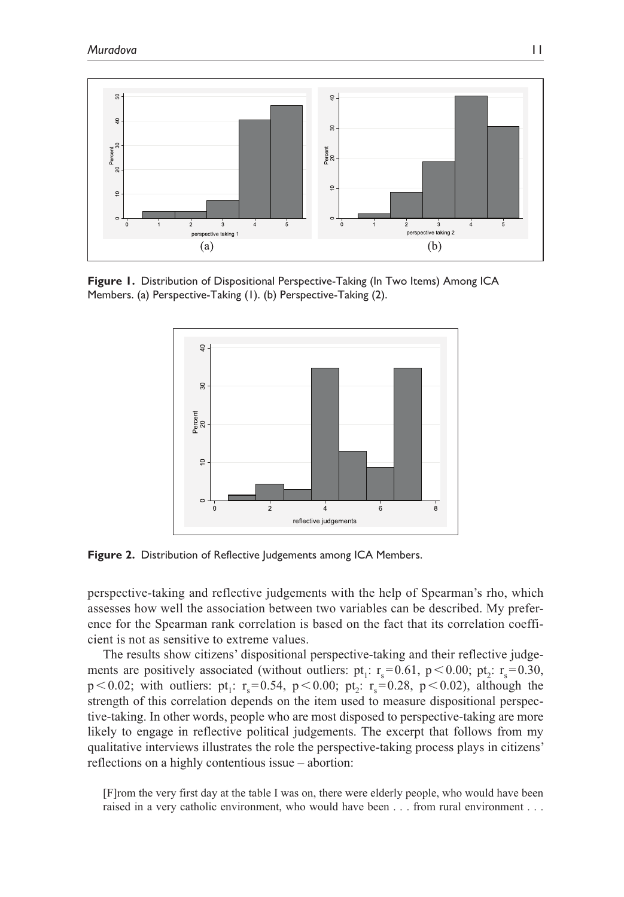

**Figure 1.** Distribution of Dispositional Perspective-Taking (In Two Items) Among ICA Members. (a) Perspective-Taking (1). (b) Perspective-Taking (2).



**Figure 2.** Distribution of Reflective Judgements among ICA Members.

perspective-taking and reflective judgements with the help of Spearman's rho, which assesses how well the association between two variables can be described. My preference for the Spearman rank correlation is based on the fact that its correlation coefficient is not as sensitive to extreme values.

The results show citizens' dispositional perspective-taking and their reflective judgements are positively associated (without outliers: pt<sub>1</sub>:  $r_s$ =0.61, p < 0.00; pt<sub>2</sub>:  $r_s$ =0.30,  $p < 0.02$ ; with outliers:  $pt_1$ :  $r_s = 0.54$ ,  $p < 0.00$ ;  $pt_2$ :  $r_s = 0.28$ ,  $p < 0.02$ ), although the strength of this correlation depends on the item used to measure dispositional perspective-taking. In other words, people who are most disposed to perspective-taking are more likely to engage in reflective political judgements. The excerpt that follows from my qualitative interviews illustrates the role the perspective-taking process plays in citizens' reflections on a highly contentious issue – abortion:

[F]rom the very first day at the table I was on, there were elderly people, who would have been raised in a very catholic environment, who would have been . . . from rural environment . . .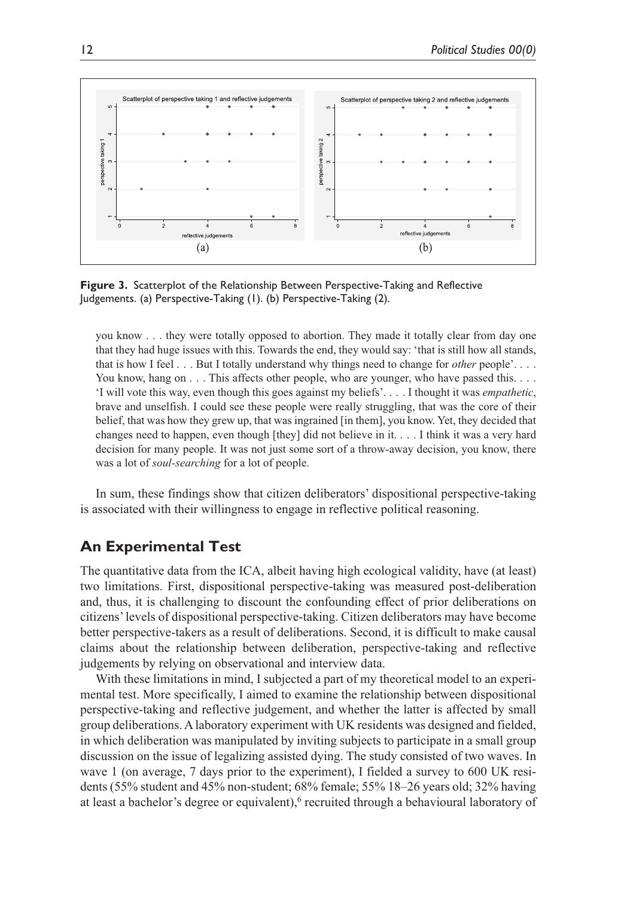

**Figure 3.** Scatterplot of the Relationship Between Perspective-Taking and Reflective Judgements. (a) Perspective-Taking (1). (b) Perspective-Taking (2).

you know . . . they were totally opposed to abortion. They made it totally clear from day one that they had huge issues with this. Towards the end, they would say: 'that is still how all stands, that is how I feel . . . But I totally understand why things need to change for *other* people'. . . . You know, hang on . . . This affects other people, who are younger, who have passed this. . . . 'I will vote this way, even though this goes against my beliefs'. . . . I thought it was *empathetic*, brave and unselfish. I could see these people were really struggling, that was the core of their belief, that was how they grew up, that was ingrained [in them], you know. Yet, they decided that changes need to happen, even though [they] did not believe in it. . . . I think it was a very hard decision for many people. It was not just some sort of a throw-away decision, you know, there was a lot of *soul-searching* for a lot of people.

In sum, these findings show that citizen deliberators' dispositional perspective-taking is associated with their willingness to engage in reflective political reasoning.

## **An Experimental Test**

The quantitative data from the ICA, albeit having high ecological validity, have (at least) two limitations. First, dispositional perspective-taking was measured post-deliberation and, thus, it is challenging to discount the confounding effect of prior deliberations on citizens' levels of dispositional perspective-taking. Citizen deliberators may have become better perspective-takers as a result of deliberations. Second, it is difficult to make causal claims about the relationship between deliberation, perspective-taking and reflective judgements by relying on observational and interview data.

With these limitations in mind, I subjected a part of my theoretical model to an experimental test. More specifically, I aimed to examine the relationship between dispositional perspective-taking and reflective judgement, and whether the latter is affected by small group deliberations. A laboratory experiment with UK residents was designed and fielded, in which deliberation was manipulated by inviting subjects to participate in a small group discussion on the issue of legalizing assisted dying. The study consisted of two waves. In wave 1 (on average, 7 days prior to the experiment), I fielded a survey to 600 UK residents (55% student and 45% non-student; 68% female; 55% 18–26 years old; 32% having at least a bachelor's degree or equivalent),<sup>6</sup> recruited through a behavioural laboratory of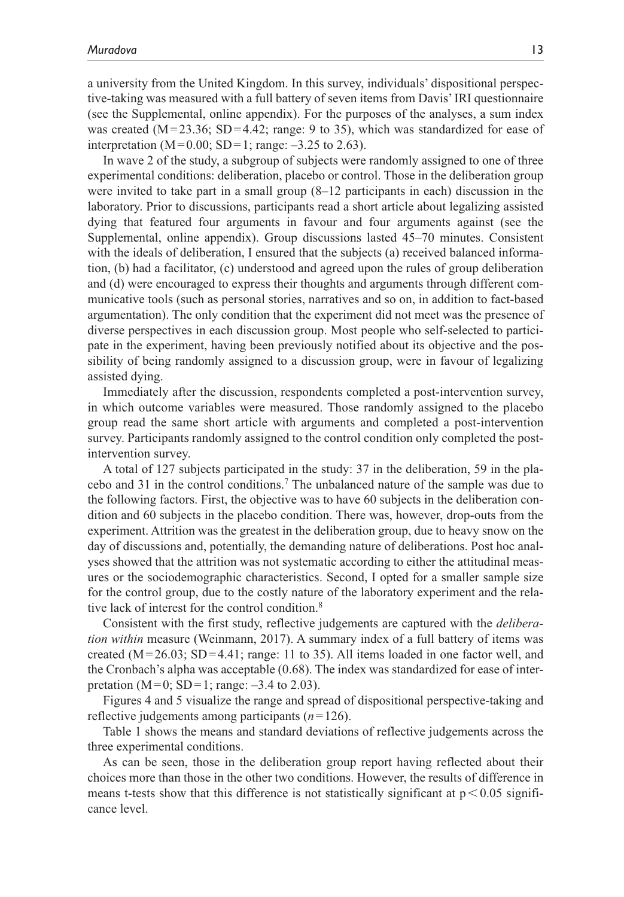a university from the United Kingdom. In this survey, individuals' dispositional perspective-taking was measured with a full battery of seven items from Davis' IRI questionnaire (see the Supplemental, online appendix). For the purposes of the analyses, a sum index was created  $(M=23.36; SD=4.42; range: 9 to 35)$ , which was standardized for ease of interpretation (M=0.00; SD=1; range:  $-3.25$  to 2.63).

In wave 2 of the study, a subgroup of subjects were randomly assigned to one of three experimental conditions: deliberation, placebo or control. Those in the deliberation group were invited to take part in a small group (8–12 participants in each) discussion in the laboratory. Prior to discussions, participants read a short article about legalizing assisted dying that featured four arguments in favour and four arguments against (see the Supplemental, online appendix). Group discussions lasted 45–70 minutes. Consistent with the ideals of deliberation, I ensured that the subjects (a) received balanced information, (b) had a facilitator, (c) understood and agreed upon the rules of group deliberation and (d) were encouraged to express their thoughts and arguments through different communicative tools (such as personal stories, narratives and so on, in addition to fact-based argumentation). The only condition that the experiment did not meet was the presence of diverse perspectives in each discussion group. Most people who self-selected to participate in the experiment, having been previously notified about its objective and the possibility of being randomly assigned to a discussion group, were in favour of legalizing assisted dying.

Immediately after the discussion, respondents completed a post-intervention survey, in which outcome variables were measured. Those randomly assigned to the placebo group read the same short article with arguments and completed a post-intervention survey. Participants randomly assigned to the control condition only completed the postintervention survey.

A total of 127 subjects participated in the study: 37 in the deliberation, 59 in the placebo and 31 in the control conditions.7 The unbalanced nature of the sample was due to the following factors. First, the objective was to have 60 subjects in the deliberation condition and 60 subjects in the placebo condition. There was, however, drop-outs from the experiment. Attrition was the greatest in the deliberation group, due to heavy snow on the day of discussions and, potentially, the demanding nature of deliberations. Post hoc analyses showed that the attrition was not systematic according to either the attitudinal measures or the sociodemographic characteristics. Second, I opted for a smaller sample size for the control group, due to the costly nature of the laboratory experiment and the relative lack of interest for the control condition.<sup>8</sup>

Consistent with the first study, reflective judgements are captured with the *deliberation within* measure (Weinmann, 2017). A summary index of a full battery of items was created ( $M=26.03$ ; SD=4.41; range: 11 to 35). All items loaded in one factor well, and the Cronbach's alpha was acceptable (0.68). The index was standardized for ease of interpretation (M=0; SD=1; range:  $-3.4$  to 2.03).

Figures 4 and 5 visualize the range and spread of dispositional perspective-taking and reflective judgements among participants (*n*=126).

Table 1 shows the means and standard deviations of reflective judgements across the three experimental conditions.

As can be seen, those in the deliberation group report having reflected about their choices more than those in the other two conditions. However, the results of difference in means t-tests show that this difference is not statistically significant at  $p < 0.05$  significance level.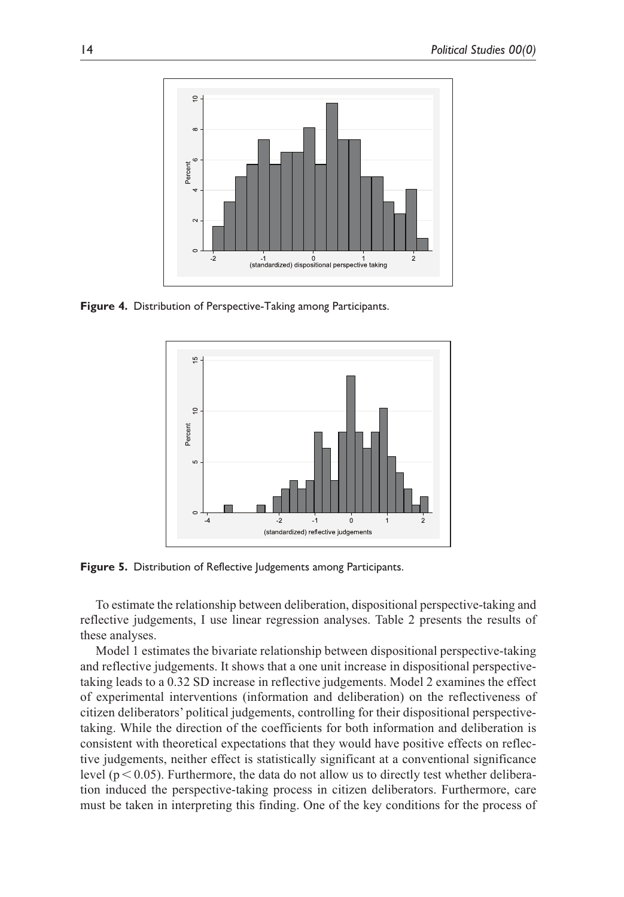

**Figure 4.** Distribution of Perspective-Taking among Participants.



**Figure 5.** Distribution of Reflective Judgements among Participants.

To estimate the relationship between deliberation, dispositional perspective-taking and reflective judgements, I use linear regression analyses. Table 2 presents the results of these analyses.

Model 1 estimates the bivariate relationship between dispositional perspective-taking and reflective judgements. It shows that a one unit increase in dispositional perspectivetaking leads to a 0.32 SD increase in reflective judgements. Model 2 examines the effect of experimental interventions (information and deliberation) on the reflectiveness of citizen deliberators' political judgements, controlling for their dispositional perspectivetaking. While the direction of the coefficients for both information and deliberation is consistent with theoretical expectations that they would have positive effects on reflective judgements, neither effect is statistically significant at a conventional significance level ( $p < 0.05$ ). Furthermore, the data do not allow us to directly test whether deliberation induced the perspective-taking process in citizen deliberators. Furthermore, care must be taken in interpreting this finding. One of the key conditions for the process of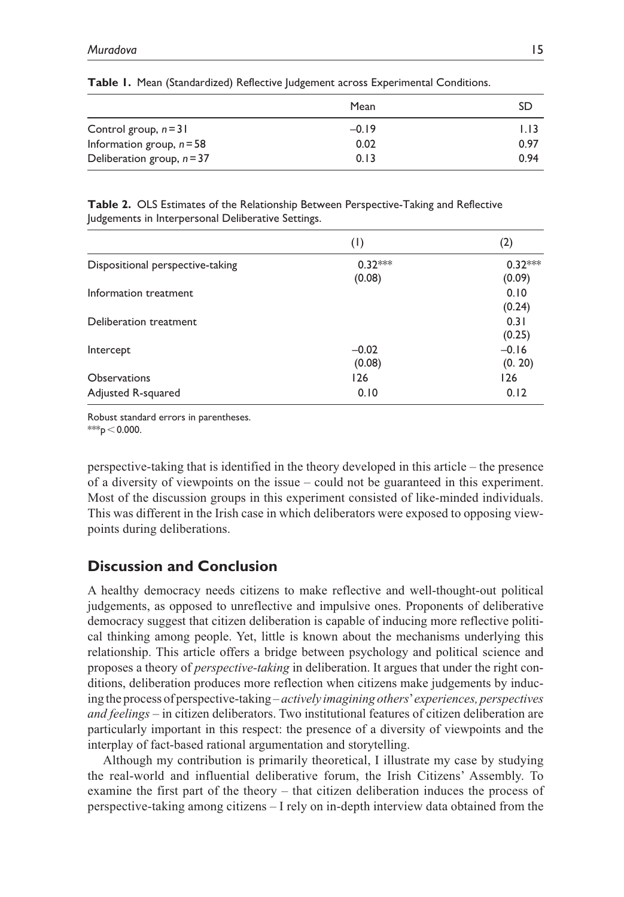|                              | Mean    | SD   |
|------------------------------|---------|------|
| Control group, $n = 31$      | $-0.19$ | 1.13 |
| Information group, $n = 58$  | 0.02    | 0.97 |
| Deliberation group, $n = 37$ | 0.13    | 0.94 |

|  |  |  |  |  | Table I. Mean (Standardized) Reflective Judgement across Experimental Conditions. |  |  |
|--|--|--|--|--|-----------------------------------------------------------------------------------|--|--|
|--|--|--|--|--|-----------------------------------------------------------------------------------|--|--|

**Table 2.** OLS Estimates of the Relationship Between Perspective-Taking and Reflective Judgements in Interpersonal Deliberative Settings.

|                                  | (1)       | (2)       |
|----------------------------------|-----------|-----------|
| Dispositional perspective-taking | $0.32***$ | $0.32***$ |
|                                  | (0.08)    | (0.09)    |
| Information treatment            |           | 0.10      |
|                                  |           | (0.24)    |
| Deliberation treatment           |           | 0.31      |
|                                  |           | (0.25)    |
| Intercept                        | $-0.02$   | $-0.16$   |
|                                  | (0.08)    | (0.20)    |
| <b>Observations</b>              | 126       | 126       |
| Adjusted R-squared               | 0.10      | 0.12      |

Robust standard errors in parentheses. \*\*\* $p < 0.000$ .

perspective-taking that is identified in the theory developed in this article – the presence of a diversity of viewpoints on the issue – could not be guaranteed in this experiment. Most of the discussion groups in this experiment consisted of like-minded individuals. This was different in the Irish case in which deliberators were exposed to opposing viewpoints during deliberations.

## **Discussion and Conclusion**

A healthy democracy needs citizens to make reflective and well-thought-out political judgements, as opposed to unreflective and impulsive ones. Proponents of deliberative democracy suggest that citizen deliberation is capable of inducing more reflective political thinking among people. Yet, little is known about the mechanisms underlying this relationship. This article offers a bridge between psychology and political science and proposes a theory of *perspective-taking* in deliberation. It argues that under the right conditions, deliberation produces more reflection when citizens make judgements by inducing the process of perspective-taking – *actively imagining others*' *experiences, perspectives and feelings* – in citizen deliberators. Two institutional features of citizen deliberation are particularly important in this respect: the presence of a diversity of viewpoints and the interplay of fact-based rational argumentation and storytelling.

Although my contribution is primarily theoretical, I illustrate my case by studying the real-world and influential deliberative forum, the Irish Citizens' Assembly. To examine the first part of the theory – that citizen deliberation induces the process of perspective-taking among citizens – I rely on in-depth interview data obtained from the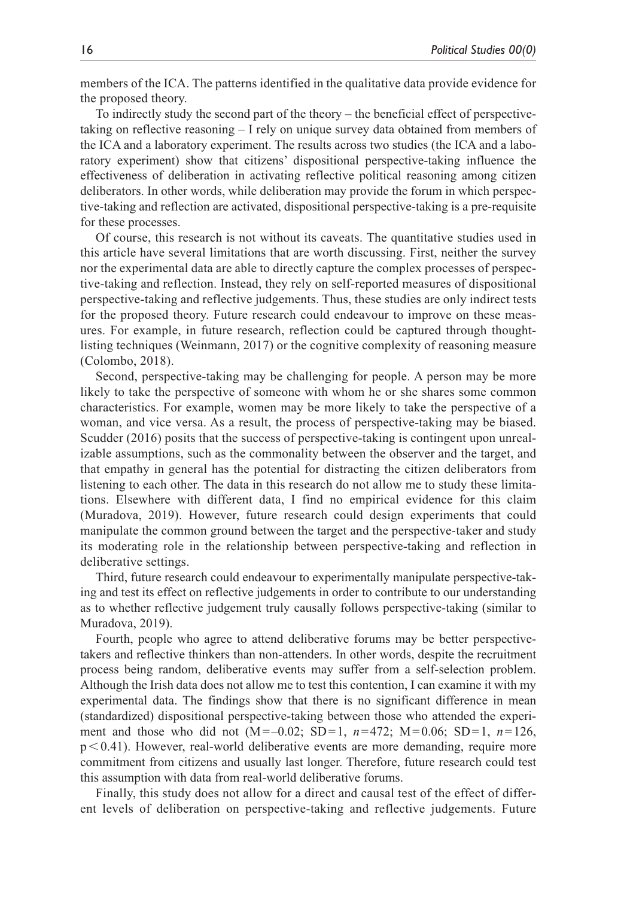members of the ICA. The patterns identified in the qualitative data provide evidence for the proposed theory.

To indirectly study the second part of the theory – the beneficial effect of perspectivetaking on reflective reasoning – I rely on unique survey data obtained from members of the ICA and a laboratory experiment. The results across two studies (the ICA and a laboratory experiment) show that citizens' dispositional perspective-taking influence the effectiveness of deliberation in activating reflective political reasoning among citizen deliberators. In other words, while deliberation may provide the forum in which perspective-taking and reflection are activated, dispositional perspective-taking is a pre-requisite for these processes.

Of course, this research is not without its caveats. The quantitative studies used in this article have several limitations that are worth discussing. First, neither the survey nor the experimental data are able to directly capture the complex processes of perspective-taking and reflection. Instead, they rely on self-reported measures of dispositional perspective-taking and reflective judgements. Thus, these studies are only indirect tests for the proposed theory. Future research could endeavour to improve on these measures. For example, in future research, reflection could be captured through thoughtlisting techniques (Weinmann, 2017) or the cognitive complexity of reasoning measure (Colombo, 2018).

Second, perspective-taking may be challenging for people. A person may be more likely to take the perspective of someone with whom he or she shares some common characteristics. For example, women may be more likely to take the perspective of a woman, and vice versa. As a result, the process of perspective-taking may be biased. Scudder (2016) posits that the success of perspective-taking is contingent upon unrealizable assumptions, such as the commonality between the observer and the target, and that empathy in general has the potential for distracting the citizen deliberators from listening to each other. The data in this research do not allow me to study these limitations. Elsewhere with different data, I find no empirical evidence for this claim (Muradova, 2019). However, future research could design experiments that could manipulate the common ground between the target and the perspective-taker and study its moderating role in the relationship between perspective-taking and reflection in deliberative settings.

Third, future research could endeavour to experimentally manipulate perspective-taking and test its effect on reflective judgements in order to contribute to our understanding as to whether reflective judgement truly causally follows perspective-taking (similar to Muradova, 2019).

Fourth, people who agree to attend deliberative forums may be better perspectivetakers and reflective thinkers than non-attenders. In other words, despite the recruitment process being random, deliberative events may suffer from a self-selection problem. Although the Irish data does not allow me to test this contention, I can examine it with my experimental data. The findings show that there is no significant difference in mean (standardized) dispositional perspective-taking between those who attended the experiment and those who did not (M=–0.02; SD=1, *n*=472; M=0.06; SD=1, *n*=126,  $p < 0.41$ ). However, real-world deliberative events are more demanding, require more commitment from citizens and usually last longer. Therefore, future research could test this assumption with data from real-world deliberative forums.

Finally, this study does not allow for a direct and causal test of the effect of different levels of deliberation on perspective-taking and reflective judgements. Future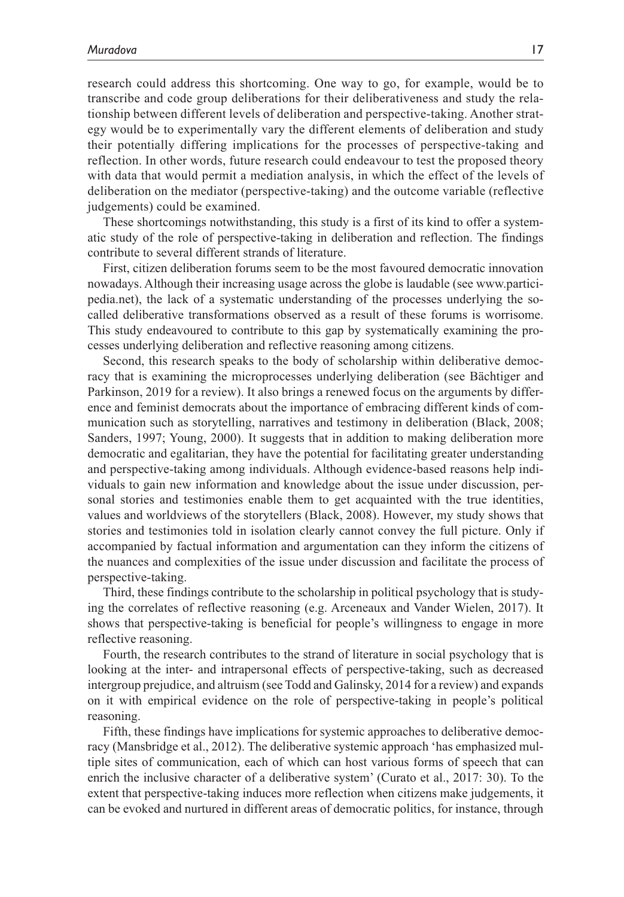research could address this shortcoming. One way to go, for example, would be to transcribe and code group deliberations for their deliberativeness and study the relationship between different levels of deliberation and perspective-taking. Another strategy would be to experimentally vary the different elements of deliberation and study their potentially differing implications for the processes of perspective-taking and reflection. In other words, future research could endeavour to test the proposed theory with data that would permit a mediation analysis, in which the effect of the levels of deliberation on the mediator (perspective-taking) and the outcome variable (reflective judgements) could be examined.

These shortcomings notwithstanding, this study is a first of its kind to offer a systematic study of the role of perspective-taking in deliberation and reflection. The findings contribute to several different strands of literature.

First, citizen deliberation forums seem to be the most favoured democratic innovation nowadays. Although their increasing usage across the globe is laudable (see [www.partici](www.participedia.net)[pedia.net](www.participedia.net)), the lack of a systematic understanding of the processes underlying the socalled deliberative transformations observed as a result of these forums is worrisome. This study endeavoured to contribute to this gap by systematically examining the processes underlying deliberation and reflective reasoning among citizens.

Second, this research speaks to the body of scholarship within deliberative democracy that is examining the microprocesses underlying deliberation (see Bächtiger and Parkinson, 2019 for a review). It also brings a renewed focus on the arguments by difference and feminist democrats about the importance of embracing different kinds of communication such as storytelling, narratives and testimony in deliberation (Black, 2008; Sanders, 1997; Young, 2000). It suggests that in addition to making deliberation more democratic and egalitarian, they have the potential for facilitating greater understanding and perspective-taking among individuals. Although evidence-based reasons help individuals to gain new information and knowledge about the issue under discussion, personal stories and testimonies enable them to get acquainted with the true identities, values and worldviews of the storytellers (Black, 2008). However, my study shows that stories and testimonies told in isolation clearly cannot convey the full picture. Only if accompanied by factual information and argumentation can they inform the citizens of the nuances and complexities of the issue under discussion and facilitate the process of perspective-taking.

Third, these findings contribute to the scholarship in political psychology that is studying the correlates of reflective reasoning (e.g. Arceneaux and Vander Wielen, 2017). It shows that perspective-taking is beneficial for people's willingness to engage in more reflective reasoning.

Fourth, the research contributes to the strand of literature in social psychology that is looking at the inter- and intrapersonal effects of perspective-taking, such as decreased intergroup prejudice, and altruism (see Todd and Galinsky, 2014 for a review) and expands on it with empirical evidence on the role of perspective-taking in people's political reasoning.

Fifth, these findings have implications for systemic approaches to deliberative democracy (Mansbridge et al., 2012). The deliberative systemic approach 'has emphasized multiple sites of communication, each of which can host various forms of speech that can enrich the inclusive character of a deliberative system' (Curato et al., 2017: 30). To the extent that perspective-taking induces more reflection when citizens make judgements, it can be evoked and nurtured in different areas of democratic politics, for instance, through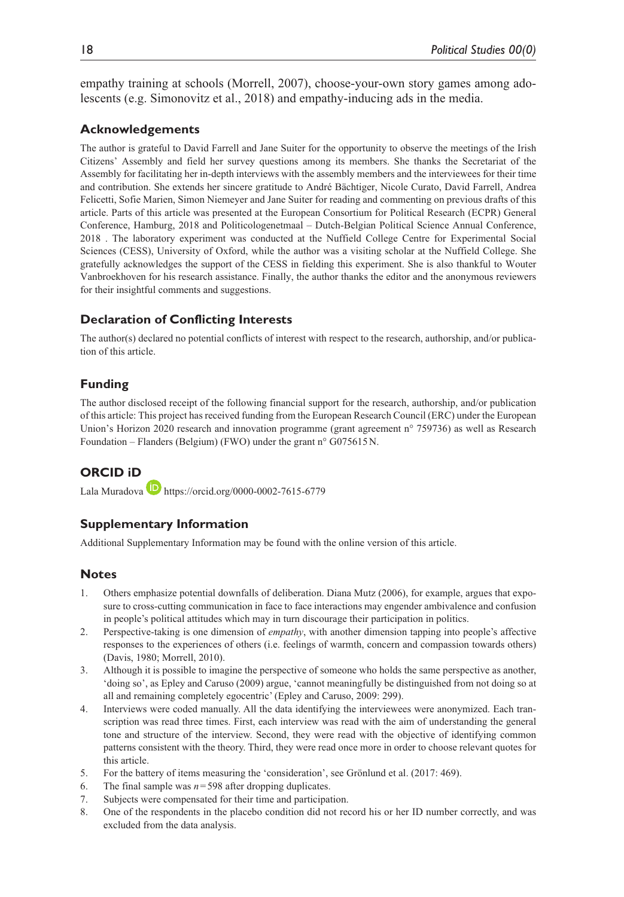empathy training at schools (Morrell, 2007), choose-your-own story games among adolescents (e.g. Simonovitz et al., 2018) and empathy-inducing ads in the media.

#### **Acknowledgements**

The author is grateful to David Farrell and Jane Suiter for the opportunity to observe the meetings of the Irish Citizens' Assembly and field her survey questions among its members. She thanks the Secretariat of the Assembly for facilitating her in-depth interviews with the assembly members and the interviewees for their time and contribution. She extends her sincere gratitude to André Bächtiger, Nicole Curato, David Farrell, Andrea Felicetti, Sofie Marien, Simon Niemeyer and Jane Suiter for reading and commenting on previous drafts of this article. Parts of this article was presented at the European Consortium for Political Research (ECPR) General Conference, Hamburg, 2018 and Politicologenetmaal – Dutch-Belgian Political Science Annual Conference, 2018 . The laboratory experiment was conducted at the Nuffield College Centre for Experimental Social Sciences (CESS), University of Oxford, while the author was a visiting scholar at the Nuffield College. She gratefully acknowledges the support of the CESS in fielding this experiment. She is also thankful to Wouter Vanbroekhoven for his research assistance. Finally, the author thanks the editor and the anonymous reviewers for their insightful comments and suggestions.

## **Declaration of Conflicting Interests**

The author(s) declared no potential conflicts of interest with respect to the research, authorship, and/or publication of this article.

### **Funding**

The author disclosed receipt of the following financial support for the research, authorship, and/or publication of this article: This project has received funding from the European Research Council (ERC) under the European Union's Horizon 2020 research and innovation programme (grant agreement n° 759736) as well as Research Foundation – Flanders (Belgium) (FWO) under the grant n° G075615N.

## **ORCID iD**

Lala Muradova **D** <https://orcid.org/0000-0002-7615-6779>

#### **Supplementary Information**

Additional Supplementary Information may be found with the online version of this article.

#### **Notes**

- 1. Others emphasize potential downfalls of deliberation. Diana Mutz (2006), for example, argues that exposure to cross-cutting communication in face to face interactions may engender ambivalence and confusion in people's political attitudes which may in turn discourage their participation in politics.
- 2. Perspective-taking is one dimension of *empathy*, with another dimension tapping into people's affective responses to the experiences of others (i.e. feelings of warmth, concern and compassion towards others) (Davis, 1980; Morrell, 2010).
- 3. Although it is possible to imagine the perspective of someone who holds the same perspective as another, 'doing so', as Epley and Caruso (2009) argue, 'cannot meaningfully be distinguished from not doing so at all and remaining completely egocentric' (Epley and Caruso, 2009: 299).
- 4. Interviews were coded manually. All the data identifying the interviewees were anonymized. Each transcription was read three times. First, each interview was read with the aim of understanding the general tone and structure of the interview. Second, they were read with the objective of identifying common patterns consistent with the theory. Third, they were read once more in order to choose relevant quotes for this article.
- 5. For the battery of items measuring the 'consideration', see Grönlund et al. (2017: 469).
- 6. The final sample was  $n = 598$  after dropping duplicates.
- 7. Subjects were compensated for their time and participation.
- 8. One of the respondents in the placebo condition did not record his or her ID number correctly, and was excluded from the data analysis.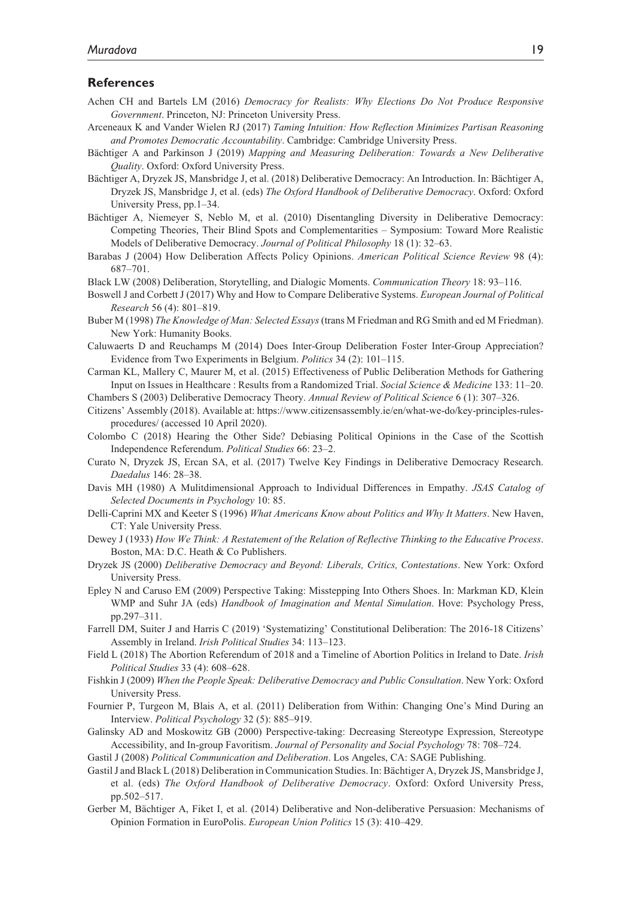#### **References**

- Achen CH and Bartels LM (2016) *Democracy for Realists: Why Elections Do Not Produce Responsive Government*. Princeton, NJ: Princeton University Press.
- Arceneaux K and Vander Wielen RJ (2017) *Taming Intuition: How Reflection Minimizes Partisan Reasoning and Promotes Democratic Accountability*. Cambridge: Cambridge University Press.
- Bächtiger A and Parkinson J (2019) *Mapping and Measuring Deliberation: Towards a New Deliberative Quality*. Oxford: Oxford University Press.
- Bächtiger A, Dryzek JS, Mansbridge J, et al. (2018) Deliberative Democracy: An Introduction. In: Bächtiger A, Dryzek JS, Mansbridge J, et al. (eds) *The Oxford Handbook of Deliberative Democracy*. Oxford: Oxford University Press, pp.1–34.
- Bächtiger A, Niemeyer S, Neblo M, et al. (2010) Disentangling Diversity in Deliberative Democracy: Competing Theories, Their Blind Spots and Complementarities – Symposium: Toward More Realistic Models of Deliberative Democracy. *Journal of Political Philosophy* 18 (1): 32–63.
- Barabas J (2004) How Deliberation Affects Policy Opinions. *American Political Science Review* 98 (4): 687–701.
- Black LW (2008) Deliberation, Storytelling, and Dialogic Moments. *Communication Theory* 18: 93–116.
- Boswell J and Corbett J (2017) Why and How to Compare Deliberative Systems. *European Journal of Political Research* 56 (4): 801–819.
- Buber M (1998) *The Knowledge of Man: Selected Essays* (trans M Friedman and RG Smith and ed M Friedman). New York: Humanity Books.
- Caluwaerts D and Reuchamps M (2014) Does Inter-Group Deliberation Foster Inter-Group Appreciation? Evidence from Two Experiments in Belgium. *Politics* 34 (2): 101–115.
- Carman KL, Mallery C, Maurer M, et al. (2015) Effectiveness of Public Deliberation Methods for Gathering Input on Issues in Healthcare : Results from a Randomized Trial. *Social Science & Medicine* 133: 11–20.

Chambers S (2003) Deliberative Democracy Theory. *Annual Review of Political Science* 6 (1): 307–326.

- Citizens' Assembly (2018). Available at: https://www.citizensassembly.ie/en/what-we-do/key-principles-rulesprocedures/ (accessed 10 April 2020).
- Colombo C (2018) Hearing the Other Side? Debiasing Political Opinions in the Case of the Scottish Independence Referendum. *Political Studies* 66: 23–2.
- Curato N, Dryzek JS, Ercan SA, et al. (2017) Twelve Key Findings in Deliberative Democracy Research. *Daedalus* 146: 28–38.
- Davis MH (1980) A Mulitdimensional Approach to Individual Differences in Empathy. *JSAS Catalog of Selected Documents in Psychology* 10: 85.
- Delli-Caprini MX and Keeter S (1996) *What Americans Know about Politics and Why It Matters*. New Haven, CT: Yale University Press.
- Dewey J (1933) *How We Think: A Restatement of the Relation of Reflective Thinking to the Educative Process*. Boston, MA: D.C. Heath & Co Publishers.
- Dryzek JS (2000) *Deliberative Democracy and Beyond: Liberals, Critics, Contestations*. New York: Oxford University Press.
- Epley N and Caruso EM (2009) Perspective Taking: Misstepping Into Others Shoes. In: Markman KD, Klein WMP and Suhr JA (eds) *Handbook of Imagination and Mental Simulation*. Hove: Psychology Press, pp.297–311.
- Farrell DM, Suiter J and Harris C (2019) 'Systematizing' Constitutional Deliberation: The 2016-18 Citizens' Assembly in Ireland. *Irish Political Studies* 34: 113–123.
- Field L (2018) The Abortion Referendum of 2018 and a Timeline of Abortion Politics in Ireland to Date. *Irish Political Studies* 33 (4): 608–628.
- Fishkin J (2009) *When the People Speak: Deliberative Democracy and Public Consultation*. New York: Oxford University Press.
- Fournier P, Turgeon M, Blais A, et al. (2011) Deliberation from Within: Changing One's Mind During an Interview. *Political Psychology* 32 (5): 885–919.
- Galinsky AD and Moskowitz GB (2000) Perspective-taking: Decreasing Stereotype Expression, Stereotype Accessibility, and In-group Favoritism. *Journal of Personality and Social Psychology* 78: 708–724.
- Gastil J (2008) *Political Communication and Deliberation*. Los Angeles, CA: SAGE Publishing.
- Gastil J and Black L (2018) Deliberation in Communication Studies. In: Bächtiger A, Dryzek JS, Mansbridge J, et al. (eds) *The Oxford Handbook of Deliberative Democracy*. Oxford: Oxford University Press, pp.502–517.
- Gerber M, Bächtiger A, Fiket I, et al. (2014) Deliberative and Non-deliberative Persuasion: Mechanisms of Opinion Formation in EuroPolis. *European Union Politics* 15 (3): 410–429.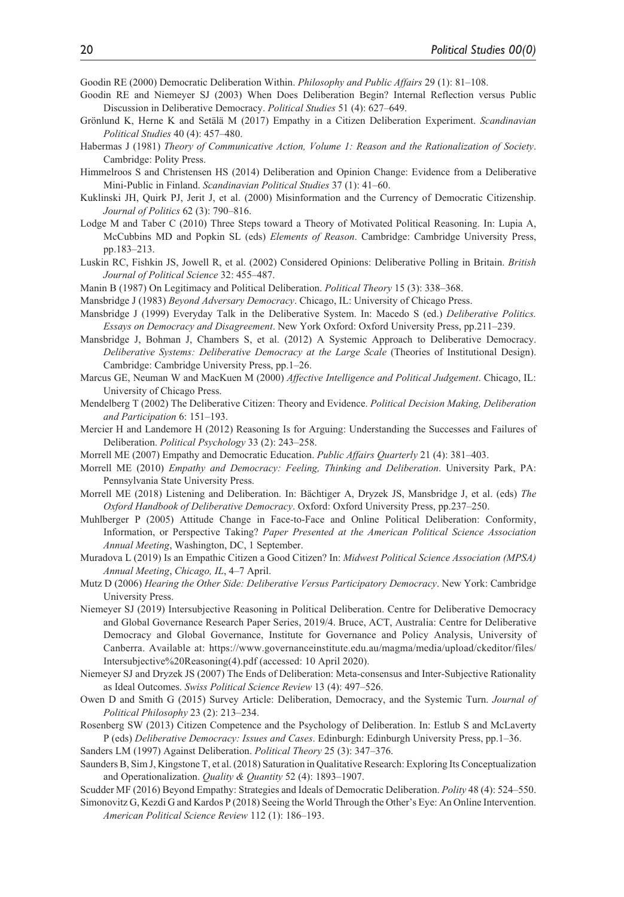Goodin RE (2000) Democratic Deliberation Within. *Philosophy and Public Affairs* 29 (1): 81–108.

- Goodin RE and Niemeyer SJ (2003) When Does Deliberation Begin? Internal Reflection versus Public Discussion in Deliberative Democracy. *Political Studies* 51 (4): 627–649.
- Grönlund K, Herne K and Setälä M (2017) Empathy in a Citizen Deliberation Experiment. *Scandinavian Political Studies* 40 (4): 457–480.
- Habermas J (1981) *Theory of Communicative Action, Volume 1: Reason and the Rationalization of Society*. Cambridge: Polity Press.
- Himmelroos S and Christensen HS (2014) Deliberation and Opinion Change: Evidence from a Deliberative Mini-Public in Finland. *Scandinavian Political Studies* 37 (1): 41–60.
- Kuklinski JH, Quirk PJ, Jerit J, et al. (2000) Misinformation and the Currency of Democratic Citizenship. *Journal of Politics* 62 (3): 790–816.
- Lodge M and Taber C (2010) Three Steps toward a Theory of Motivated Political Reasoning. In: Lupia A, McCubbins MD and Popkin SL (eds) *Elements of Reason*. Cambridge: Cambridge University Press, pp.183–213.
- Luskin RC, Fishkin JS, Jowell R, et al. (2002) Considered Opinions: Deliberative Polling in Britain. *British Journal of Political Science* 32: 455–487.
- Manin B (1987) On Legitimacy and Political Deliberation. *Political Theory* 15 (3): 338–368.
- Mansbridge J (1983) *Beyond Adversary Democracy*. Chicago, IL: University of Chicago Press.
- Mansbridge J (1999) Everyday Talk in the Deliberative System. In: Macedo S (ed.) *Deliberative Politics. Essays on Democracy and Disagreement*. New York Oxford: Oxford University Press, pp.211–239.
- Mansbridge J, Bohman J, Chambers S, et al. (2012) A Systemic Approach to Deliberative Democracy. *Deliberative Systems: Deliberative Democracy at the Large Scale* (Theories of Institutional Design). Cambridge: Cambridge University Press, pp.1–26.
- Marcus GE, Neuman W and MacKuen M (2000) *Affective Intelligence and Political Judgement*. Chicago, IL: University of Chicago Press.
- Mendelberg T (2002) The Deliberative Citizen: Theory and Evidence. *Political Decision Making, Deliberation and Participation* 6: 151–193.
- Mercier H and Landemore H (2012) Reasoning Is for Arguing: Understanding the Successes and Failures of Deliberation. *Political Psychology* 33 (2): 243–258.
- Morrell ME (2007) Empathy and Democratic Education. *Public Affairs Quarterly* 21 (4): 381–403.
- Morrell ME (2010) *Empathy and Democracy: Feeling, Thinking and Deliberation*. University Park, PA: Pennsylvania State University Press.
- Morrell ME (2018) Listening and Deliberation. In: Bächtiger A, Dryzek JS, Mansbridge J, et al. (eds) *The Oxford Handbook of Deliberative Democracy*. Oxford: Oxford University Press, pp.237–250.
- Muhlberger P (2005) Attitude Change in Face-to-Face and Online Political Deliberation: Conformity, Information, or Perspective Taking? *Paper Presented at the American Political Science Association Annual Meeting*, Washington, DC, 1 September.
- Muradova L (2019) Is an Empathic Citizen a Good Citizen? In: *Midwest Political Science Association (MPSA) Annual Meeting*, *Chicago, IL*, 4–7 April.
- Mutz D (2006) *Hearing the Other Side: Deliberative Versus Participatory Democracy*. New York: Cambridge University Press.
- Niemeyer SJ (2019) Intersubjective Reasoning in Political Deliberation. Centre for Deliberative Democracy and Global Governance Research Paper Series, 2019/4. Bruce, ACT, Australia: Centre for Deliberative Democracy and Global Governance, Institute for Governance and Policy Analysis, University of Canberra. Available at: [https://www.governanceinstitute.edu.au/magma/media/upload/ckeditor/files/](https://www.governanceinstitute.edu.au/magma/media/upload/ckeditor/files/Intersubjective%20Reasoning(4).pdf) [Intersubjective%20Reasoning\(4\).pdf](https://www.governanceinstitute.edu.au/magma/media/upload/ckeditor/files/Intersubjective%20Reasoning(4).pdf) (accessed: 10 April 2020).
- Niemeyer SJ and Dryzek JS (2007) The Ends of Deliberation: Meta-consensus and Inter-Subjective Rationality as Ideal Outcomes. *Swiss Political Science Review* 13 (4): 497–526.
- Owen D and Smith G (2015) Survey Article: Deliberation, Democracy, and the Systemic Turn. *Journal of Political Philosophy* 23 (2): 213–234.
- Rosenberg SW (2013) Citizen Competence and the Psychology of Deliberation. In: Estlub S and McLaverty P (eds) *Deliberative Democracy: Issues and Cases*. Edinburgh: Edinburgh University Press, pp.1–36.

Sanders LM (1997) Against Deliberation. *Political Theory* 25 (3): 347–376.

- Saunders B, Sim J, Kingstone T, et al. (2018) Saturation in Qualitative Research: Exploring Its Conceptualization and Operationalization. *Quality & Quantity* 52 (4): 1893–1907.
- Scudder MF (2016) Beyond Empathy: Strategies and Ideals of Democratic Deliberation. *Polity* 48 (4): 524–550.
- Simonovitz G, Kezdi G and Kardos P (2018) Seeing the World Through the Other's Eye: An Online Intervention. *American Political Science Review* 112 (1): 186–193.